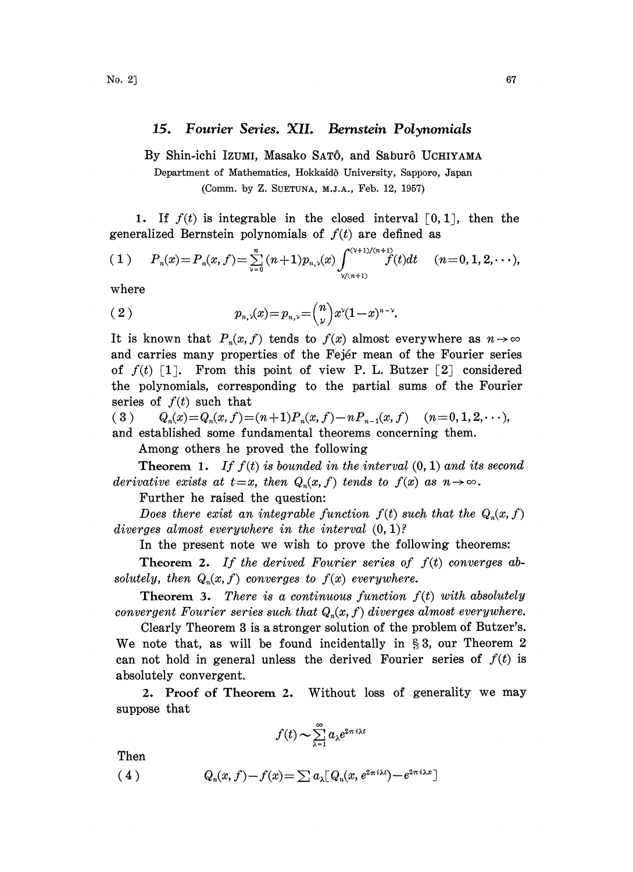## 15. Fourier Series. XII. Bernstein Polynomials

By Shin-ichi Izumi, Masako SATÔ, and Saburô UCHIYAMA

Department of Mathematics, Hokkaidô University, Sapporo, Japan (Comm. by Z. SUETUNA, M.J.A., Feb. 12, 1957).

1. If  $f(t)$  is integrable in the closed interval [0, 1], then the generalized Bernstein polynomials of  $f(t)$  are defined as

(1) 
$$
P_n(x) = P_n(x, f) = \sum_{\nu=0}^n (n+1) p_{n,\nu}(x) \int_{\nu/(n+1)}^{\nu/(\nu+1)/(n+1)} f(t) dt \quad (n=0, 1, 2, \dots),
$$
  
where

where

(2) 
$$
p_{n,\nu}(x) = p_{n,\nu} = \binom{n}{\nu} x^{\nu} (1-x)^{n-\nu}.
$$

It is known that  $P_n(x, f)$  tends to  $f(x)$  almost everywhere as  $n \to \infty$ and carries many properties of the Fejr mean of the Fourier series of  $f(t)$  [1]. From this point of view P. L. Butzer [2] considered the polynomials, corresponding to the partial sums of the Fourier series of  $f(t)$  such that

(3)  $Q_n(x) = Q_n(x,f) = (n+1)P_n(x,f) - nP_{n-1}(x,f)$   $(n=0,1,2,\dots),$ and established some fundamental theorems concerning them.

Among others he proved the following

**Theorem 1.** If  $f(t)$  is bounded in the interval  $(0, 1)$  and its second derivative exists at  $t=x$ , then  $Q_n(x, f)$  tends to  $f(x)$  as  $n \to \infty$ .

Further he raised the question:

Does there exist an integrable function  $f(t)$  such that the  $Q_n(x, f)$ diverges almost everywhere in the interval  $(0, 1)$ ?

In the present note we wish to prove the following theorems:

**Theorem 2.** If the derived Fourier series of  $f(t)$  converges absolutely, then  $Q_n(x, f)$  converges to  $f(x)$  everywhere.

**Theorem 3.** There is a continuous function  $f(t)$  with absolutely convergent Fourier series such that  $Q_n(x, f)$  diverges almost everywhere.

Clearly Theorem 3 is a stronger solution of the problem of Butzer's. We note that, as will be found incidentally in  $\S 3$ , our Theorem 2 can not hold in general unless the derived Fourier series of  $f(t)$  is absolutely convergent.

2. Proof of Theorem 2. Without loss of generality we may suppose that

$$
f(t) \sim \sum_{\lambda=1}^{\infty} a_{\lambda} e^{2\pi i \lambda t}
$$

Then

 $Q_n(x, f) - f(x) = \sum a_n [Q_n(x, e^{2\pi i \lambda t}) - e^{2\pi i \lambda x}]$  $(4)$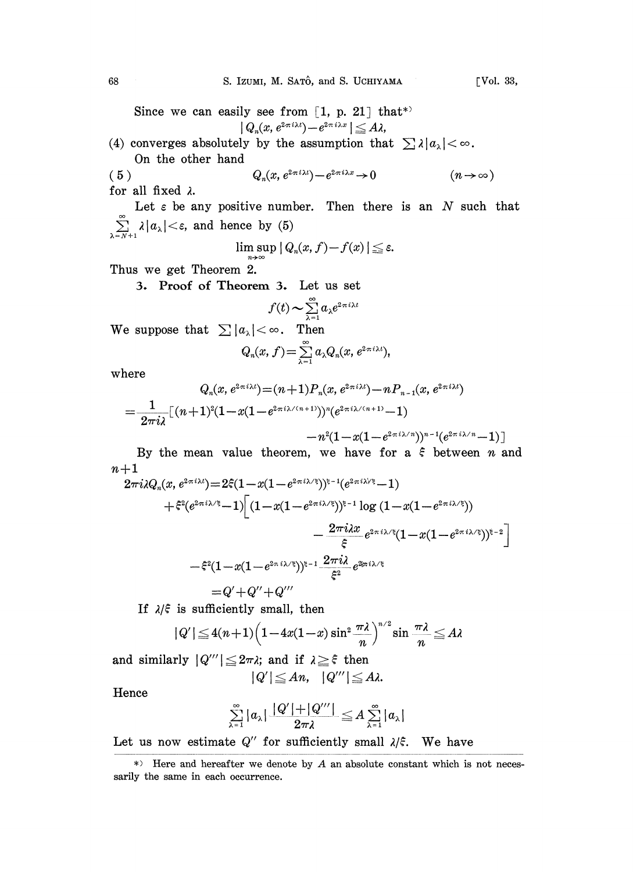Since we can easily see from  $[1, p. 21]$  that<sup>\*</sup>  $|Q_n(x, e^{2\pi i \lambda t}) - e^{2\pi i \lambda x}| \leq A\lambda,$ (4) converges absolutely by the assumption that  $\sum \lambda |a_{\lambda}| < \infty$ .

On the other hand ( 5 )  $Q_n(x, e^{2\pi i\lambda t}) - e^{2\pi i\lambda x} \to 0$   $(n \to \infty)$ 

for all fixed  $\lambda$ .

Let  $\varepsilon$  be any positive number. Then there is an  $N$  such that  $\sum_{\lambda=N+1}^{\infty} \lambda |a_{\lambda}| < \varepsilon$ , and hence by (5)

$$
\limsup_{n\to\infty} |Q_n(x, f)-f(x)| \leq \varepsilon.
$$

Thus we get Theorem 2.

3. Proof of Theorem 3. Let us set

$$
f(t) \sim \sum_{\lambda=1}^{\infty} a_{\lambda} e^{2\pi i \lambda t}
$$

We suppose that  $\sum |a_{\lambda}| < \infty$ . Then

$$
Q_n(x, f) = \sum_{\lambda=1}^{\infty} a_{\lambda} Q_n(x, e^{2\pi i \lambda t}),
$$

where

$$
Q_n(x,e^{2\pi i \lambda t})\!=\!(n\!+\!1)P_n(x,e^{2\pi i \lambda t})\!-\!nP_{n-1}(x,e^{2\pi i \lambda t})\\=\!\frac{1}{2\pi i \lambda}\lbrack (n\!+\!1)^2(1\!-\!x(1\!-\!e^{2\pi i \lambda/(n+1)}) )^n\!(e^{2\pi i \lambda/(n+1)}\!-\!1)
$$

$$
-n^2(1\!-\!x(1\!-\!e^{2\pi i\lambda/n}))^{n-1}(e^{2\pi\,i\lambda/n}\!-\!1)\big]
$$

By the mean value theorem, we have for a  $\xi$  between n and  $n+1$ 

$$
\begin{aligned} \mathcal{L}^{+1} \left\{ 2\pi i\lambda Q_n(x,e^{2\pi i\lambda t})\! =\! 2\tilde{\varepsilon}(1\!-\!x(1\!-\!e^{2\pi i\lambda/\xi}))^{\xi-1}(e^{2\pi i\lambda/\xi}\!-\!1) \right. \\ \left. +\tilde{\varepsilon}^2(e^{2\pi i\lambda/\xi}\!-\!1)\!\right[(1\!-\!x(1\!-\!e^{2\pi i\lambda/\xi}))^{\xi-1}\log\left(1\!-\!x(1\!-\!e^{2\pi i\lambda/\xi})\right) \right. \\ \left. -\frac{2\pi i\lambda x}{\xi}e^{2\pi i\lambda/\xi}(1\!-\!x(1\!-\!e^{2\pi i\lambda/\xi}))^{\xi-2}\right] \\ \left. -\tilde{\varepsilon}^2(1\!-\!x(1\!-\!e^{2\pi i\lambda/\xi}))^{\xi-1}\frac{2\pi i\lambda}{\xi^2}e^{2\!pi i\lambda/\xi} \right. \\ \left. -\mathcal{Q}'\!+\!Q'''\right. \end{aligned}
$$

If  $\lambda/\xi$  is sufficiently small, then

$$
|Q'|\leq 4(n+1)\Big(1-4x(1-x)\sin^2\frac{\pi\lambda}{n}\Big)^{n/2}\sin\frac{\pi\lambda}{n}\leq A\lambda
$$

and similarly  $|Q'''| \le 2\pi\lambda$ ; and if  $\lambda \ge \xi$  then

$$
|Q'|\leq An, \quad |Q'''|\leq A\lambda.
$$

Hence

$$
\sum_{\lambda=1}^{\infty} |a_{\lambda}| \frac{|Q'|+|Q'''|}{2\pi\lambda} \leq A \sum_{\lambda=1}^{\infty} |a_{\lambda}|
$$

Let us now estimate  $Q''$  for sufficiently small  $\lambda/\xi$ . We have

 $*$ ) Here and hereafter we denote by  $A$  an absolute constant which is not necessarily the same in each occurrence.